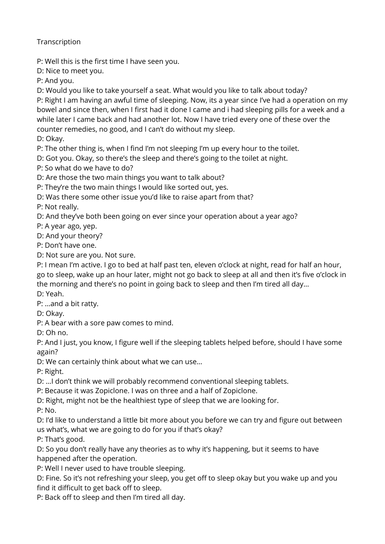**Transcription** 

P: Well this is the first time I have seen you.

D: Nice to meet you.

P: And you.

D: Would you like to take yourself a seat. What would you like to talk about today?

P: Right I am having an awful time of sleeping. Now, its a year since I've had a operation on my bowel and since then, when I first had it done I came and i had sleeping pills for a week and a while later I came back and had another lot. Now I have tried every one of these over the counter remedies, no good, and I can't do without my sleep.

D: Okay.

P: The other thing is, when I find I'm not sleeping I'm up every hour to the toilet.

D: Got you. Okay, so there's the sleep and there's going to the toilet at night.

P: So what do we have to do?

D: Are those the two main things you want to talk about?

P: They're the two main things I would like sorted out, yes.

D: Was there some other issue you'd like to raise apart from that?

P: Not really.

D: And they've both been going on ever since your operation about a year ago?

P: A year ago, yep.

D: And your theory?

P: Don't have one.

D: Not sure are you. Not sure.

P: I mean I'm active. I go to bed at half past ten, eleven o'clock at night, read for half an hour, go to sleep, wake up an hour later, might not go back to sleep at all and then it's five o'clock in the morning and there's no point in going back to sleep and then I'm tired all day… D: Yeah.

P: …and a bit ratty.

D: Okay.

P: A bear with a sore paw comes to mind.

D: Oh no.

P: And I just, you know, I figure well if the sleeping tablets helped before, should I have some again?

D: We can certainly think about what we can use…

P: Right.

D: …I don't think we will probably recommend conventional sleeping tablets.

P: Because it was Zopiclone. I was on three and a half of Zopiclone.

D: Right, might not be the healthiest type of sleep that we are looking for.

P: No.

D: I'd like to understand a little bit more about you before we can try and figure out between us what's, what we are going to do for you if that's okay?

P: That's good.

D: So you don't really have any theories as to why it's happening, but it seems to have happened after the operation.

P: Well I never used to have trouble sleeping.

D: Fine. So it's not refreshing your sleep, you get off to sleep okay but you wake up and you find it difficult to get back off to sleep.

P: Back off to sleep and then I'm tired all day.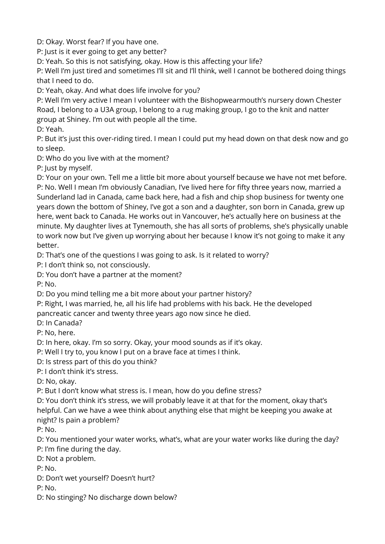D: Okay. Worst fear? If you have one.

P: Just is it ever going to get any better?

D: Yeah. So this is not satisfying, okay. How is this affecting your life?

P: Well I'm just tired and sometimes I'll sit and I'll think, well I cannot be bothered doing things that I need to do.

D: Yeah, okay. And what does life involve for you?

P: Well I'm very active I mean I volunteer with the Bishopwearmouth's nursery down Chester Road, I belong to a U3A group, I belong to a rug making group, I go to the knit and natter group at Shiney. I'm out with people all the time.

D: Yeah.

P: But it's just this over-riding tired. I mean I could put my head down on that desk now and go to sleep.

D: Who do you live with at the moment?

P: Just by myself.

D: Your on your own. Tell me a little bit more about yourself because we have not met before. P: No. Well I mean I'm obviously Canadian, I've lived here for fifty three years now, married a Sunderland lad in Canada, came back here, had a fish and chip shop business for twenty one years down the bottom of Shiney, I've got a son and a daughter, son born in Canada, grew up here, went back to Canada. He works out in Vancouver, he's actually here on business at the minute. My daughter lives at Tynemouth, she has all sorts of problems, she's physically unable to work now but I've given up worrying about her because I know it's not going to make it any better.

D: That's one of the questions I was going to ask. Is it related to worry?

P: I don't think so, not consciously.

D: You don't have a partner at the moment?

P: No.

D: Do you mind telling me a bit more about your partner history?

P: Right, I was married, he, all his life had problems with his back. He the developed pancreatic cancer and twenty three years ago now since he died.

D: In Canada?

P: No, here.

D: In here, okay. I'm so sorry. Okay, your mood sounds as if it's okay.

P: Well I try to, you know I put on a brave face at times I think.

D: Is stress part of this do you think?

P: I don't think it's stress.

D: No, okay.

P: But I don't know what stress is. I mean, how do you define stress?

D: You don't think it's stress, we will probably leave it at that for the moment, okay that's helpful. Can we have a wee think about anything else that might be keeping you awake at night? Is pain a problem?

P: No.

D: You mentioned your water works, what's, what are your water works like during the day? P: I'm fine during the day.

D: Not a problem.

P: No.

D: Don't wet yourself? Doesn't hurt?

P: No.

D: No stinging? No discharge down below?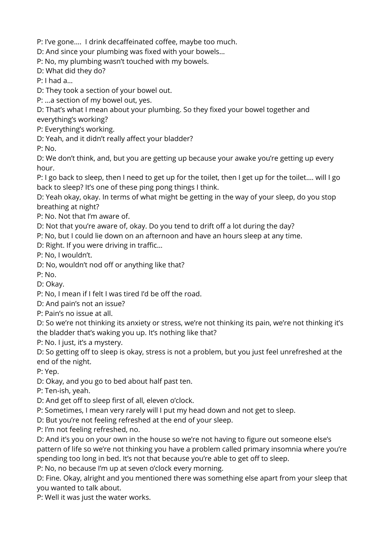P: I've gone…. I drink decaffeinated coffee, maybe too much.

D: And since your plumbing was fixed with your bowels…

P: No, my plumbing wasn't touched with my bowels.

D: What did they do?

P: I had a…

D: They took a section of your bowel out.

P: …a section of my bowel out, yes.

D: That's what I mean about your plumbing. So they fixed your bowel together and everything's working?

P: Everything's working.

D: Yeah, and it didn't really affect your bladder?

P: No.

D: We don't think, and, but you are getting up because your awake you're getting up every hour.

P: I go back to sleep, then I need to get up for the toilet, then I get up for the toilet…. will I go back to sleep? It's one of these ping pong things I think.

D: Yeah okay, okay. In terms of what might be getting in the way of your sleep, do you stop breathing at night?

P: No. Not that I'm aware of.

D: Not that you're aware of, okay. Do you tend to drift off a lot during the day?

P: No, but I could lie down on an afternoon and have an hours sleep at any time.

D: Right. If you were driving in traffic…

P: No, I wouldn't.

D: No, wouldn't nod off or anything like that?

P: No.

D: Okay.

P: No, I mean if I felt I was tired I'd be off the road.

D: And pain's not an issue?

P: Pain's no issue at all.

D: So we're not thinking its anxiety or stress, we're not thinking its pain, we're not thinking it's the bladder that's waking you up. It's nothing like that?

P: No. I just, it's a mystery.

D: So getting off to sleep is okay, stress is not a problem, but you just feel unrefreshed at the end of the night.

P: Yep.

D: Okay, and you go to bed about half past ten.

P: Ten-ish, yeah.

D: And get off to sleep first of all, eleven o'clock.

P: Sometimes, I mean very rarely will I put my head down and not get to sleep.

D: But you're not feeling refreshed at the end of your sleep.

P: I'm not feeling refreshed, no.

D: And it's you on your own in the house so we're not having to figure out someone else's pattern of life so we're not thinking you have a problem called primary insomnia where you're spending too long in bed. It's not that because you're able to get off to sleep.

P: No, no because I'm up at seven o'clock every morning.

D: Fine. Okay, alright and you mentioned there was something else apart from your sleep that you wanted to talk about.

P: Well it was just the water works.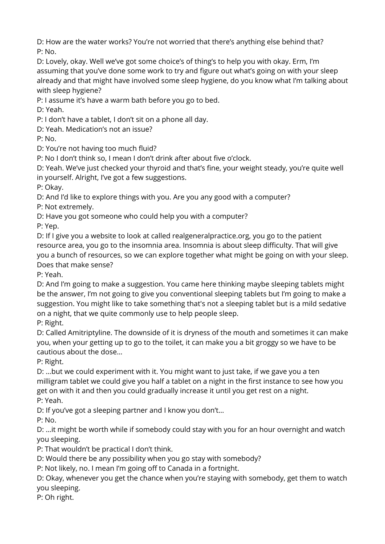D: How are the water works? You're not worried that there's anything else behind that? P: No.

D: Lovely, okay. Well we've got some choice's of thing's to help you with okay. Erm, I'm assuming that you've done some work to try and figure out what's going on with your sleep already and that might have involved some sleep hygiene, do you know what I'm talking about with sleep hygiene?

P: I assume it's have a warm bath before you go to bed.

D: Yeah.

P: I don't have a tablet, I don't sit on a phone all day.

D: Yeah. Medication's not an issue?

P: No.

D: You're not having too much fluid?

P: No I don't think so, I mean I don't drink after about five o'clock.

D: Yeah. We've just checked your thyroid and that's fine, your weight steady, you're quite well in yourself. Alright, I've got a few suggestions.

P: Okay.

D: And I'd like to explore things with you. Are you any good with a computer?

P: Not extremely.

D: Have you got someone who could help you with a computer?

P: Yep.

D: If I give you a website to look at called realgeneralpractice.org, you go to the patient resource area, you go to the insomnia area. Insomnia is about sleep difficulty. That will give you a bunch of resources, so we can explore together what might be going on with your sleep. Does that make sense?

P: Yeah.

D: And I'm going to make a suggestion. You came here thinking maybe sleeping tablets might be the answer, I'm not going to give you conventional sleeping tablets but I'm going to make a suggestion. You might like to take something that's not a sleeping tablet but is a mild sedative on a night, that we quite commonly use to help people sleep.

P: Right.

D: Called Amitriptyline. The downside of it is dryness of the mouth and sometimes it can make you, when your getting up to go to the toilet, it can make you a bit groggy so we have to be cautious about the dose…

P: Right.

D: …but we could experiment with it. You might want to just take, if we gave you a ten milligram tablet we could give you half a tablet on a night in the first instance to see how you get on with it and then you could gradually increase it until you get rest on a night. P: Yeah.

D: If you've got a sleeping partner and I know you don't…

P: No.

D: …it might be worth while if somebody could stay with you for an hour overnight and watch you sleeping.

P: That wouldn't be practical I don't think.

D: Would there be any possibility when you go stay with somebody?

P: Not likely, no. I mean I'm going off to Canada in a fortnight.

D: Okay, whenever you get the chance when you're staying with somebody, get them to watch you sleeping.

P: Oh right.